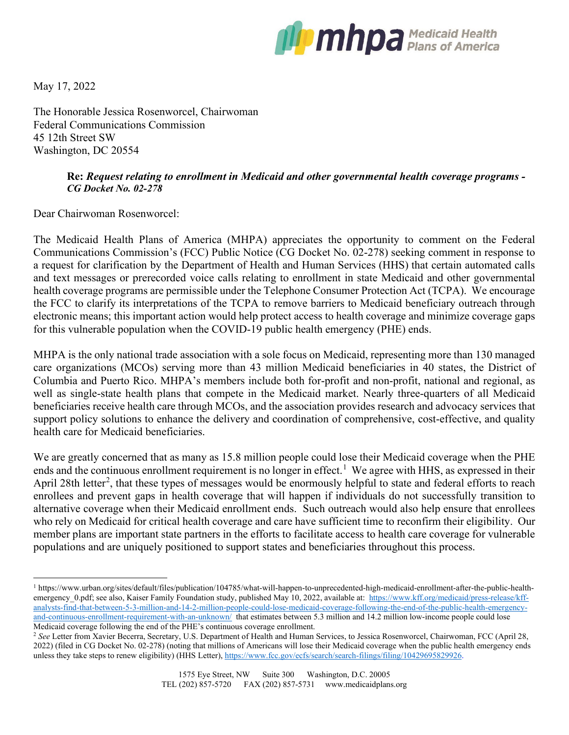

May 17, 2022

The Honorable Jessica Rosenworcel, Chairwoman Federal Communications Commission 45 12th Street SW Washington, DC 20554

## **Re:** *Request relating to enrollment in Medicaid and other governmental health coverage programs - CG Docket No. 02-278*

Dear Chairwoman Rosenworcel:

The Medicaid Health Plans of America (MHPA) appreciates the opportunity to comment on the Federal Communications Commission's (FCC) Public Notice (CG Docket No. 02-278) seeking comment in response to a request for clarification by the Department of Health and Human Services (HHS) that certain automated calls and text messages or prerecorded voice calls relating to enrollment in state Medicaid and other governmental health coverage programs are permissible under the Telephone Consumer Protection Act (TCPA). We encourage the FCC to clarify its interpretations of the TCPA to remove barriers to Medicaid beneficiary outreach through electronic means; this important action would help protect access to health coverage and minimize coverage gaps for this vulnerable population when the COVID-19 public health emergency (PHE) ends.

MHPA is the only national trade association with a sole focus on Medicaid, representing more than 130 managed care organizations (MCOs) serving more than 43 million Medicaid beneficiaries in 40 states, the District of Columbia and Puerto Rico. MHPA's members include both for-profit and non-profit, national and regional, as well as single-state health plans that compete in the Medicaid market. Nearly three-quarters of all Medicaid beneficiaries receive health care through MCOs, and the association provides research and advocacy services that support policy solutions to enhance the delivery and coordination of comprehensive, cost-effective, and quality health care for Medicaid beneficiaries.

We are greatly concerned that as many as 15.8 million people could lose their Medicaid coverage when the PHE ends and the continuous enrollment requirement is no longer in effect.<sup>[1](#page-0-0)</sup> We agree with HHS, as expressed in their April [2](#page-0-1)8th letter<sup>2</sup>, that these types of messages would be enormously helpful to state and federal efforts to reach enrollees and prevent gaps in health coverage that will happen if individuals do not successfully transition to alternative coverage when their Medicaid enrollment ends. Such outreach would also help ensure that enrollees who rely on Medicaid for critical health coverage and care have sufficient time to reconfirm their eligibility. Our member plans are important state partners in the efforts to facilitate access to health care coverage for vulnerable populations and are uniquely positioned to support states and beneficiaries throughout this process.

<span id="page-0-0"></span><sup>1</sup> https://www.urban.org/sites/default/files/publication/104785/what-will-happen-to-unprecedented-high-medicaid-enrollment-after-the-public-healthemergency 0.pdf; see also, Kaiser Family Foundation study, published May 10, 2022, available at: [https://www.kff.org/medicaid/press-release/kff](https://www.kff.org/medicaid/press-release/kff-analysts-find-that-between-5-3-million-and-14-2-million-people-could-lose-medicaid-coverage-following-the-end-of-the-public-health-emergency-and-continuous-enrollment-requirement-with-an-unknown/)[analysts-find-that-between-5-3-million-and-14-2-million-people-could-lose-medicaid-coverage-following-the-end-of-the-public-health-emergency](https://www.kff.org/medicaid/press-release/kff-analysts-find-that-between-5-3-million-and-14-2-million-people-could-lose-medicaid-coverage-following-the-end-of-the-public-health-emergency-and-continuous-enrollment-requirement-with-an-unknown/)[and-continuous-enrollment-requirement-with-an-unknown/](https://www.kff.org/medicaid/press-release/kff-analysts-find-that-between-5-3-million-and-14-2-million-people-could-lose-medicaid-coverage-following-the-end-of-the-public-health-emergency-and-continuous-enrollment-requirement-with-an-unknown/) that estimates between 5.3 million and 14.2 million low-income people could lose<br>Medicaid coverage following the end of the PHE's continuous coverage enrollment.

<span id="page-0-1"></span><sup>&</sup>lt;sup>2</sup> See Letter from Xavier Becerra, Secretary, U.S. Department of Health and Human Services, to Jessica Rosenworcel, Chairwoman, FCC (April 28, 2022) (filed in CG Docket No. 02-278) (noting that millions of Americans will lose their Medicaid coverage when the public health emergency ends unless they take steps to renew eligibility) (HHS Letter), [https://www.fcc.gov/ecfs/search/search-filings/filing/10429695829926.](https://www.fcc.gov/ecfs/search/search-filings/filing/10429695829926)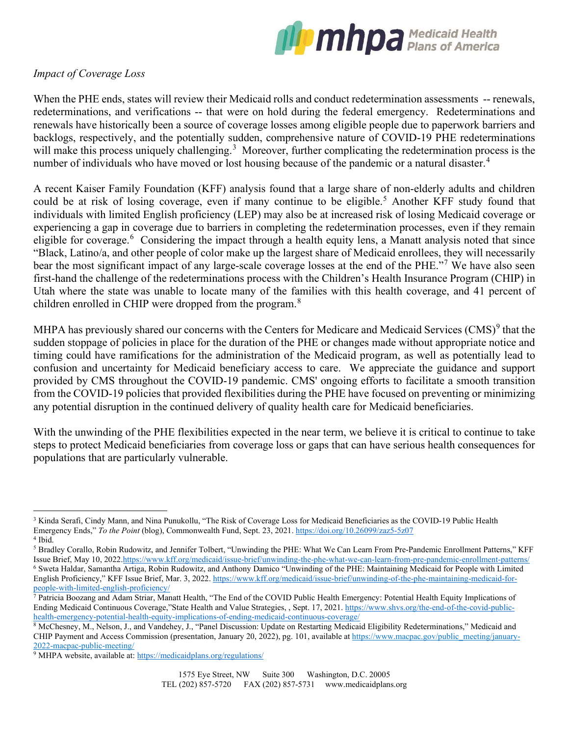

## *Impact of Coverage Loss*

When the PHE ends, states will review their Medicaid rolls and conduct redetermination assessments -- renewals, redeterminations, and verifications -- that were on hold during the federal emergency. Redeterminations and renewals have historically been a source of coverage losses among eligible people due to paperwork barriers and backlogs, respectively, and the potentially sudden, comprehensive nature of COVID-19 PHE redeterminations will make this process uniquely challenging.<sup>[3](#page-1-0)</sup> Moreover, further complicating the redetermination process is the number of individuals who have moved or lost housing because of the pandemic or a natural disaster.<sup>[4](#page-1-1)</sup>

A recent Kaiser Family Foundation (KFF) analysis found that a large share of non-elderly adults and children could be at risk of losing coverage, even if many continue to be eligible.<sup>[5](#page-1-2)</sup> Another KFF study found that individuals with limited English proficiency (LEP) may also be at increased risk of losing Medicaid coverage or experiencing a gap in coverage due to barriers in completing the redetermination processes, even if they remain eligible for coverage.<sup>[6](#page-1-3)</sup> Considering the impact through a health equity lens, a Manatt analysis noted that since "Black, Latino/a, and other people of color make up the largest share of Medicaid enrollees, they will necessarily bear the most significant impact of any large-scale coverage losses at the end of the PHE."[7](#page-1-4) We have also seen first-hand the challenge of the redeterminations process with the Children's Health Insurance Program (CHIP) in Utah where the state was unable to locate many of the families with this health coverage, and 41 percent of children enrolled in CHIP were dropped from the program.<sup>[8](#page-1-5)</sup>

MHPA has previously shared our concerns with the Centers for Medicare and Medicaid Services (CMS)<sup>[9](#page-1-6)</sup> that the sudden stoppage of policies in place for the duration of the PHE or changes made without appropriate notice and timing could have ramifications for the administration of the Medicaid program, as well as potentially lead to confusion and uncertainty for Medicaid beneficiary access to care. We appreciate the guidance and support provided by CMS throughout the COVID-19 pandemic. CMS' ongoing efforts to facilitate a smooth transition from the COVID-19 policies that provided flexibilities during the PHE have focused on preventing or minimizing any potential disruption in the continued delivery of quality health care for Medicaid beneficiaries.

With the unwinding of the PHE flexibilities expected in the near term, we believe it is critical to continue to take steps to protect Medicaid beneficiaries from coverage loss or gaps that can have serious health consequences for populations that are particularly vulnerable.

<span id="page-1-0"></span><sup>&</sup>lt;sup>3</sup> Kinda Serafi, Cindy Mann, and Nina Punukollu, "The Risk of Coverage Loss for Medicaid Beneficiaries as the COVID-19 Public Health Emergency Ends," *To the Point* (blog), Commonwealth Fund, Sept. 23, 2021[. https://doi.org/10.26099/zaz5-5z07](https://doi.org/10.26099/zaz5-5z07) <sup>4</sup> Ibid.

<span id="page-1-3"></span><span id="page-1-2"></span><span id="page-1-1"></span><sup>5</sup> Bradley Corallo, Robin Rudowitz, and Jennifer Tolbert, "Unwinding the PHE: What We Can Learn From Pre-Pandemic Enrollment Patterns," KFF Issue Brief, May 10, 2022.https://www.kff.org/medicaid/issue-brief/unwinding-the-phe-what-we-can-learn-from-pre-pandemic-enrollment-patterns/<br><sup>6</sup> Sweta Haldar, Samantha Artiga, Robin Rudowitz, and Anthony Damico "Unwinding English Proficiency," KFF Issue Brief, Mar. 3, 2022[. https://www.kff.org/medicaid/issue-brief/unwinding-of-the-phe-maintaining-medicaid-for](https://www.kff.org/medicaid/issue-brief/unwinding-of-the-phe-maintaining-medicaid-for-people-with-limited-english-proficiency/)people-with-limited-english-proficiency/<br><sup>7</sup> Patricia Boozang and Adam Striar, Manatt Health, "The End of the COVID Public Health Emergency: Potential Health Equity Implications of

<span id="page-1-4"></span>Ending Medicaid Continuous Coverage,"State Health and Value Strategies, , Sept. 17, 2021[. https://www.shvs.org/the-end-of-the-covid-public-](https://www.shvs.org/the-end-of-the-covid-public-health-emergency-potential-health-equity-implications-of-ending-medicaid-continuous-coverage/)

<span id="page-1-5"></span>health-emergency-potential-health-equity-implications-of-ending-medicaid-continuous-coverage/<br><sup>8</sup> McChesney, M., Nelson, J., and Vandehey, J., "Panel Discussion: Update on Restarting Medicaid Eligibility Redeterminations," CHIP Payment and Access Commission (presentation, January 20, 2022), pg. 101, available at [https://www.macpac.gov/public\\_meeting/january-](https://www.macpac.gov/public_meeting/january-2022-macpac-public-meeting/)[2022-macpac-public-meeting/](https://www.macpac.gov/public_meeting/january-2022-macpac-public-meeting/)

<span id="page-1-6"></span><sup>&</sup>lt;sup>9</sup> MHPA website, available at: https://medicaidplans.org/regulations/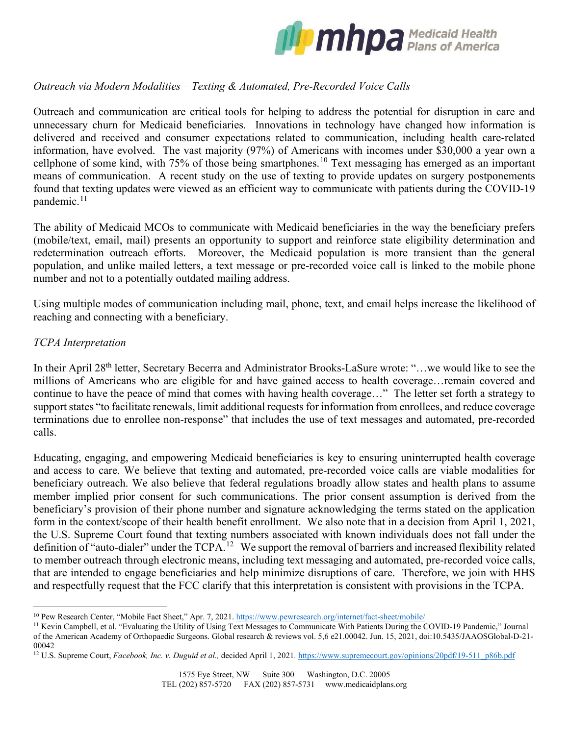

## *Outreach via Modern Modalities – Texting & Automated, Pre-Recorded Voice Calls*

Outreach and communication are critical tools for helping to address the potential for disruption in care and unnecessary churn for Medicaid beneficiaries. Innovations in technology have changed how information is delivered and received and consumer expectations related to communication, including health care-related information, have evolved. The vast majority (97%) of Americans with incomes under \$30,000 a year own a cellphone of some kind, with 75% of those being smartphones. [10](#page-2-0) Text messaging has emerged as an important means of communication. A recent study on the use of texting to provide updates on surgery postponements found that texting updates were viewed as an efficient way to communicate with patients during the COVID-19 pandemic.<sup>[11](#page-2-1)</sup>

The ability of Medicaid MCOs to communicate with Medicaid beneficiaries in the way the beneficiary prefers (mobile/text, email, mail) presents an opportunity to support and reinforce state eligibility determination and redetermination outreach efforts. Moreover, the Medicaid population is more transient than the general population, and unlike mailed letters, a text message or pre-recorded voice call is linked to the mobile phone number and not to a potentially outdated mailing address.

Using multiple modes of communication including mail, phone, text, and email helps increase the likelihood of reaching and connecting with a beneficiary.

## *TCPA Interpretation*

In their April 28<sup>th</sup> letter, Secretary Becerra and Administrator Brooks-LaSure wrote: "...we would like to see the millions of Americans who are eligible for and have gained access to health coverage…remain covered and continue to have the peace of mind that comes with having health coverage…" The letter set forth a strategy to support states "to facilitate renewals, limit additional requests for information from enrollees, and reduce coverage terminations due to enrollee non-response" that includes the use of text messages and automated, pre-recorded calls.

Educating, engaging, and empowering Medicaid beneficiaries is key to ensuring uninterrupted health coverage and access to care. We believe that texting and automated, pre-recorded voice calls are viable modalities for beneficiary outreach. We also believe that federal regulations broadly allow states and health plans to assume member implied prior consent for such communications. The prior consent assumption is derived from the beneficiary's provision of their phone number and signature acknowledging the terms stated on the application form in the context/scope of their health benefit enrollment. We also note that in a decision from April 1, 2021, the U.S. Supreme Court found that texting numbers associated with known individuals does not fall under the definition of "auto-dialer" under the TCPA.<sup>[12](#page-2-2)</sup> We support the removal of barriers and increased flexibility related to member outreach through electronic means, including text messaging and automated, pre-recorded voice calls, that are intended to engage beneficiaries and help minimize disruptions of care. Therefore, we join with HHS and respectfully request that the FCC clarify that this interpretation is consistent with provisions in the TCPA.

<span id="page-2-1"></span><span id="page-2-0"></span><sup>&</sup>lt;sup>10</sup> Pew Research Center, "Mobile Fact Sheet," Apr. 7, 2021. https://www.pewresearch.org/internet/fact-sheet/mobile/<br><sup>11</sup> Kevin Campbell, et al. "Evaluating the Utility of Using Text Messages to Communicate With Patients D of the American Academy of Orthopaedic Surgeons. Global research & reviews vol. 5,6 e21.00042. Jun. 15, 2021, doi:10.5435/JAAOSGlobal-D-21- 00042

<span id="page-2-2"></span><sup>&</sup>lt;sup>12</sup> U.S. Supreme Court, *Facebook, Inc. v. Duguid et al.*, decided April 1, 2021. https://www.supremecourt.gov/opinions/20pdf/19-511\_p86b.pdf